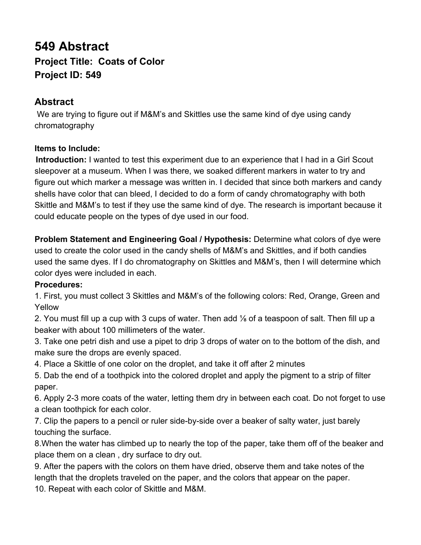## **549 Abstract Project Title: Coats of Color Project ID: 549**

## **Abstract**

 We are trying to figure out if M&M's and Skittles use the same kind of dye using candy chromatography

## **Items to Include:**

**Introduction:** I wanted to test this experiment due to an experience that I had in a Girl Scout sleepover at a museum. When I was there, we soaked different markers in water to try and figure out which marker a message was written in. I decided that since both markers and candy shells have color that can bleed, I decided to do a form of candy chromatography with both Skittle and M&M's to test if they use the same kind of dye. The research is important because it could educate people on the types of dye used in our food.

**Problem Statement and Engineering Goal / Hypothesis: Determine what colors of dye were** used to create the color used in the candy shells of M&M's and Skittles, and if both candies used the same dyes. If I do chromatography on Skittles and M&M's, then I will determine which color dyes were included in each.

## **Procedures:**

1. First, you must collect 3 Skittles and M&M's of the following colors: Red, Orange, Green and Yellow

2. You must fill up a cup with 3 cups of water. Then add ⅛ of a teaspoon of salt. Then fill up a beaker with about 100 millimeters of the water.

3. Take one petri dish and use a pipet to drip 3 drops of water on to the bottom of the dish, and make sure the drops are evenly spaced.

4. Place a Skittle of one color on the droplet, and take it off after 2 minutes

5. Dab the end of a toothpick into the colored droplet and apply the pigment to a strip of filter paper.

6. Apply 2-3 more coats of the water, letting them dry in between each coat. Do not forget to use a clean toothpick for each color.

7. Clip the papers to a pencil or ruler side-by-side over a beaker of salty water, just barely touching the surface.

8.When the water has climbed up to nearly the top of the paper, take them off of the beaker and place them on a clean , dry surface to dry out.

9. After the papers with the colors on them have dried, observe them and take notes of the length that the droplets traveled on the paper, and the colors that appear on the paper.

10. Repeat with each color of Skittle and M&M.